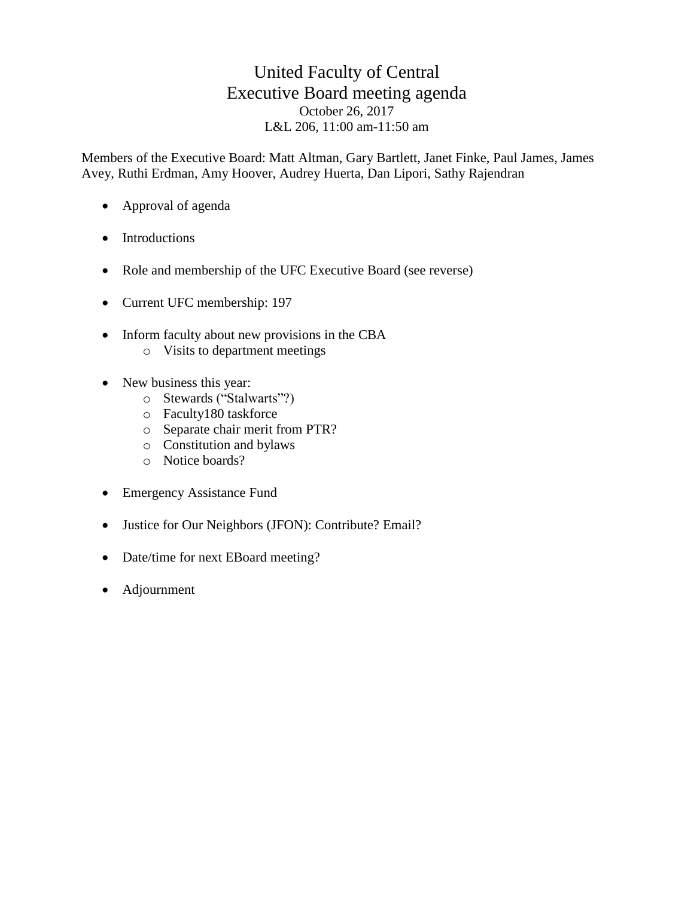# United Faculty of Central Executive Board meeting agenda October 26, 2017 L&L 206, 11:00 am-11:50 am

Members of the Executive Board: Matt Altman, Gary Bartlett, Janet Finke, Paul James, James Avey, Ruthi Erdman, Amy Hoover, Audrey Huerta, Dan Lipori, Sathy Rajendran

- Approval of agenda
- Introductions
- Role and membership of the UFC Executive Board (see reverse)
- Current UFC membership: 197
- Inform faculty about new provisions in the CBA
	- o Visits to department meetings
- New business this year:
	- o Stewards ("Stalwarts"?)
	- o Faculty180 taskforce
	- o Separate chair merit from PTR?
	- o Constitution and bylaws
	- o Notice boards?
- Emergency Assistance Fund
- Justice for Our Neighbors (JFON): Contribute? Email?
- Date/time for next EBoard meeting?
- Adjournment